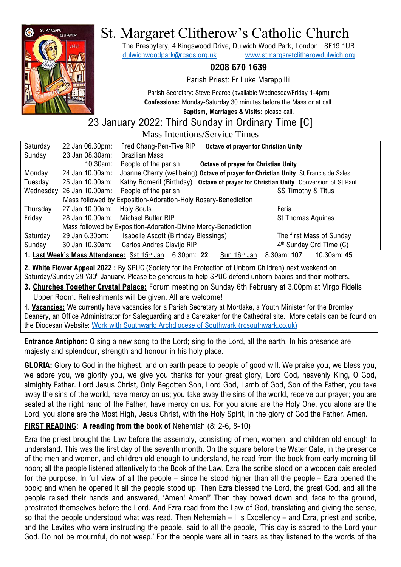

# St. Margaret Clitherow's Catholic Church

The Presbytery, 4 Kingswood Drive, Dulwich Wood Park, London SE19 1UR [dulwichwoodpark@rcaos.org.uk](mailto:dulwichwoodpark@rcaos.org.uk) [www.stmargaretclitherowdulwich.org](http://www.stmargaretclitherowdulwich.org/)

## **0208 670 1639**

Parish Priest: Fr Luke Marappillil

Parish Secretary: Steve Pearce (available Wednesday/Friday 1-4pm) **Confessions:** Monday-Saturday 30 minutes before the Mass or at call.

**Baptism, Marriages & Visits:** please call.

# 23 January 2022: Third Sunday in Ordinary Time [C]

Mass Intentions/Service Times

| Saturday                                                                                                                | 22 Jan 06.30pm:           | Fred Chang-Pen-Tive RIP                                       | <b>Octave of prayer for Christian Unity</b>                                        |                           |  |  |
|-------------------------------------------------------------------------------------------------------------------------|---------------------------|---------------------------------------------------------------|------------------------------------------------------------------------------------|---------------------------|--|--|
| Sunday                                                                                                                  | 23 Jan 08.30am:           | <b>Brazilian Mass</b>                                         |                                                                                    |                           |  |  |
|                                                                                                                         | 10.30am:                  | People of the parish                                          | <b>Octave of prayer for Christian Unity</b>                                        |                           |  |  |
| Monday                                                                                                                  | 24 Jan 10.00am:           |                                                               | Joanne Cherry (wellbeing) Octave of prayer for Christian Unity St Francis de Sales |                           |  |  |
| Tuesday                                                                                                                 | 25 Jan 10.00am:           | Kathy Romeril (Birthday)                                      | Octave of prayer for Christian Unity Conversion of St Paul                         |                           |  |  |
|                                                                                                                         | Wednesday 26 Jan 10.00am: | People of the parish                                          |                                                                                    | SS Timothy & Titus        |  |  |
|                                                                                                                         |                           | Mass followed by Exposition-Adoration-Holy Rosary-Benediction |                                                                                    |                           |  |  |
| Thursday                                                                                                                | 27 Jan 10.00am:           | <b>Holy Souls</b>                                             | Feria                                                                              |                           |  |  |
| Friday                                                                                                                  | 28 Jan 10.00am:           | Michael Butler RIP                                            |                                                                                    | <b>St Thomas Aguinas</b>  |  |  |
| Mass followed by Exposition-Adoration-Divine Mercy-Benediction                                                          |                           |                                                               |                                                                                    |                           |  |  |
| Saturday                                                                                                                | 29 Jan 6.30pm:            | Isabelle Ascott (Birthday Blessings)                          |                                                                                    | The first Mass of Sunday  |  |  |
| Sunday                                                                                                                  | 30 Jan 10.30am:           | Carlos Andres Clavijo RIP                                     |                                                                                    | $4th$ Sunday Ord Time (C) |  |  |
| 1. Last Week's Mass Attendance: Sat 15th Jan<br>Sun 16 <sup>th</sup> Jan<br>8.30am: 107<br>10.30am: 45<br>$6.30$ pm: 22 |                           |                                                               |                                                                                    |                           |  |  |

**2. White Flower Appeal 2022 :** By SPUC (Society for the Protection of Unborn Children) next weekend on Saturday/Sunday 29<sup>th</sup>/30<sup>th</sup> January. Please be generous to help SPUC defend unborn babies and their mothers.

**3. Churches Together Crystal Palace:** Forum meeting on Sunday 6th February at 3.00pm at Virgo Fidelis Upper Room. Refreshments will be given. All are welcome!

4. **Vacancies:** We currently have vacancies for a Parish Secretary at Mortlake, a Youth Minister for the Bromley Deanery, an Office Administrator for Safeguarding and a Caretaker for the Cathedral site. More details can be found on the Diocesan Website: [Work with Southwark: Archdiocese of Southwark \(rcsouthwark.co.uk\)](https://www.rcsouthwark.co.uk/get-involved/vacancies/work-with-southwark/)

**Entrance Antiphon:** O sing a new song to the Lord; sing to the Lord, all the earth. In his presence are majesty and splendour, strength and honour in his holy place.

**GLORIA:** Glory to God in the highest, and on earth peace to people of good will. We praise you, we bless you, we adore you, we glorify you, we give you thanks for your great glory, Lord God, heavenly King, O God, almighty Father. Lord Jesus Christ, Only Begotten Son, Lord God, Lamb of God, Son of the Father, you take away the sins of the world, have mercy on us; you take away the sins of the world, receive our prayer; you are seated at the right hand of the Father, have mercy on us. For you alone are the Holy One, you alone are the Lord, you alone are the Most High, Jesus Christ, with the Holy Spirit, in the glory of God the Father. Amen.

# **FIRST READING**: **A reading from the book of** Nehemiah (8: 2-6, 8-10)

Ezra the priest brought the Law before the assembly, consisting of men, women, and children old enough to understand. This was the first day of the seventh month. On the square before the Water Gate, in the presence of the men and women, and children old enough to understand, he read from the book from early morning till noon; all the people listened attentively to the Book of the Law. Ezra the scribe stood on a wooden dais erected for the purpose. In full view of all the people – since he stood higher than all the people – Ezra opened the book; and when he opened it all the people stood up. Then Ezra blessed the Lord, the great God, and all the people raised their hands and answered, 'Amen! Amen!' Then they bowed down and, face to the ground, prostrated themselves before the Lord. And Ezra read from the Law of God, translating and giving the sense, so that the people understood what was read. Then Nehemiah – His Excellency – and Ezra, priest and scribe, and the Levites who were instructing the people, said to all the people, 'This day is sacred to the Lord your God. Do not be mournful, do not weep.' For the people were all in tears as they listened to the words of the